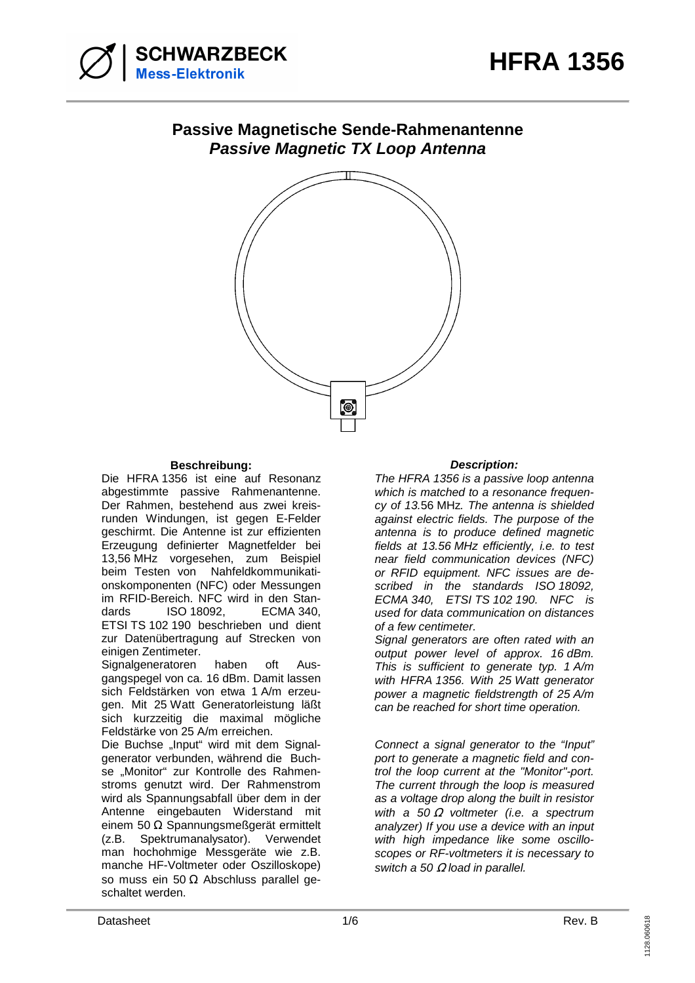

## **Passive Magnetische Sende-Rahmenantenne Passive Magnetic TX Loop Antenna**



## **Beschreibung: Description:**

Die HFRA 1356 ist eine auf Resonanz abgestimmte passive Rahmenantenne. Der Rahmen, bestehend aus zwei kreisrunden Windungen, ist gegen E-Felder geschirmt. Die Antenne ist zur effizienten Erzeugung definierter Magnetfelder bei 13,56 MHz vorgesehen, zum Beispiel beim Testen von Nahfeldkommunikationskomponenten (NFC) oder Messungen im RFID-Bereich. NFC wird in den Standards ISO 18092, ECMA 340, ETSI TS 102 190 beschrieben und dient zur Datenübertragung auf Strecken von einigen Zentimeter.

Signalgeneratoren haben oft Ausgangspegel von ca. 16 dBm. Damit lassen sich Feldstärken von etwa 1 A/m erzeugen. Mit 25 Watt Generatorleistung läßt sich kurzzeitig die maximal mögliche Feldstärke von 25 A/m erreichen.

Die Buchse "Input" wird mit dem Signalgenerator verbunden, während die Buchse "Monitor" zur Kontrolle des Rahmenstroms genutzt wird. Der Rahmenstrom wird als Spannungsabfall über dem in der Antenne eingebauten Widerstand mit einem 50 Ω Spannungsmeßgerät ermittelt (z.B. Spektrumanalysator). Verwendet man hochohmige Messgeräte wie z.B. manche HF-Voltmeter oder Oszilloskope) so muss ein 50 Ω Abschluss parallel geschaltet werden.

The HFRA 1356 is a passive loop antenna which is matched to a resonance frequency of 13.56 MHz. The antenna is shielded against electric fields. The purpose of the antenna is to produce defined magnetic fields at 13.56 MHz efficiently, i.e. to test near field communication devices (NFC) or RFID equipment. NFC issues are described in the standards ISO 18092, ECMA 340, ETSI TS 102 190. NFC is used for data communication on distances of a few centimeter.

Signal generators are often rated with an output power level of approx. 16 dBm. This is sufficient to generate typ. 1 A/m with HFRA 1356. With 25 Watt generator power a magnetic fieldstrength of 25 A/m can be reached for short time operation.

Connect a signal generator to the "Input" port to generate a magnetic field and control the loop current at the "Monitor"-port. The current through the loop is measured as a voltage drop along the built in resistor with a 50  $\Omega$  voltmeter (i.e. a spectrum analyzer) If you use a device with an input with high impedance like some oscilloscopes or RF-voltmeters it is necessary to switch a 50  $\Omega$  load in parallel.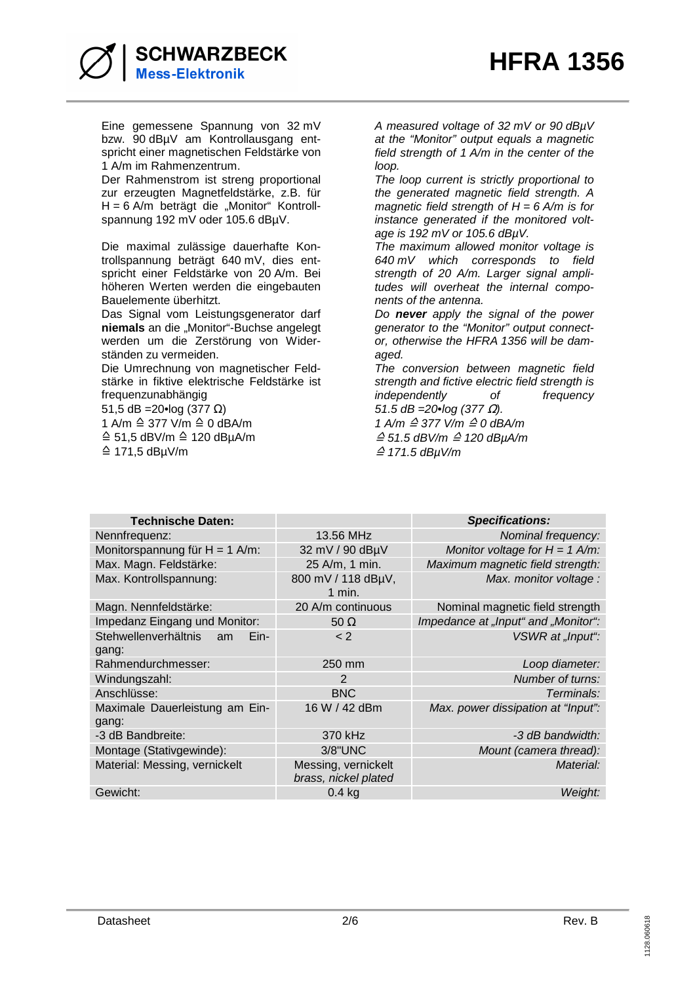

Eine gemessene Spannung von 32 mV bzw. 90 dBµV am Kontrollausgang entspricht einer magnetischen Feldstärke von 1 A/m im Rahmenzentrum.

Der Rahmenstrom ist streng proportional zur erzeugten Magnetfeldstärke, z.B. für  $H = 6$  A/m beträgt die "Monitor" Kontrollspannung 192 mV oder 105.6 dBµV.

Die maximal zulässige dauerhafte Kontrollspannung beträgt 640 mV, dies entspricht einer Feldstärke von 20 A/m. Bei höheren Werten werden die eingebauten Bauelemente überhitzt.

Das Signal vom Leistungsgenerator darf **niemals** an die "Monitor"-Buchse angelegt werden um die Zerstörung von Widerständen zu vermeiden.

Die Umrechnung von magnetischer Feldstärke in fiktive elektrische Feldstärke ist frequenzunabhängig

51,5 dB = 20•log (377 Ω)

1 A/m ≙ 377 V/m ≙ 0 dBA/m

≙ 51,5 dBV/m ≙ 120 dBµA/m ≙ 171,5 dBµV/m

A measured voltage of 32 mV or 90 dBµV at the "Monitor" output equals a magnetic field strength of 1 A/m in the center of the loop.

The loop current is strictly proportional to the generated magnetic field strength. A magnetic field strength of  $H = 6$  A/m is for instance generated if the monitored voltage is 192 mV or 105.6 dBµV.

The maximum allowed monitor voltage is 640 mV which corresponds to field strength of 20 A/m. Larger signal amplitudes will overheat the internal components of the antenna.

Do **never** apply the signal of the power generator to the "Monitor" output connector, otherwise the HFRA 1356 will be damaged.

The conversion between magnetic field strength and fictive electric field strength is independently of frequency 51.5 dB =  $20 \cdot \log (377 \Omega)$ .

1 A/m ≙ 377 V/m ≙ 0 dBA/m

≙ 51.5 dBV/m ≙ 120 dBµA/m ≙ 171.5 dBµV/m

| <b>Technische Daten:</b>                    |                                             | <b>Specifications:</b>              |
|---------------------------------------------|---------------------------------------------|-------------------------------------|
| Nennfrequenz:                               | 13.56 MHz                                   | Nominal frequency:                  |
| Monitorspannung für $H = 1$ A/m:            | 32 mV / 90 dBµV                             | Monitor voltage for $H = 1$ A/m:    |
| Max. Magn. Feldstärke:                      | 25 A/m, 1 min.                              | Maximum magnetic field strength:    |
| Max. Kontrollspannung:                      | 800 mV / 118 dBµV,<br>$1$ min.              | Max. monitor voltage :              |
| Magn. Nennfeldstärke:                       | 20 A/m continuous                           | Nominal magnetic field strength     |
| Impedanz Eingang und Monitor:               | $50 \Omega$                                 | Impedance at "Input" and "Monitor": |
| Stehwellenverhältnis<br>Ein-<br>am<br>gang: | $<$ 2                                       | VSWR at "Input":                    |
| Rahmendurchmesser:                          | 250 mm                                      | Loop diameter:                      |
| Windungszahl:                               | $\mathcal{P}$                               | Number of turns:                    |
| Anschlüsse:                                 | <b>BNC</b>                                  | Terminals:                          |
| Maximale Dauerleistung am Ein-<br>gang:     | 16 W / 42 dBm                               | Max. power dissipation at "Input":  |
| -3 dB Bandbreite:                           | 370 kHz                                     | -3 dB bandwidth:                    |
| Montage (Stativgewinde):                    | 3/8"UNC                                     | Mount (camera thread):              |
| Material: Messing, vernickelt               | Messing, vernickelt<br>brass, nickel plated | Material:                           |
| Gewicht:                                    | $0.4$ kg                                    | Weight:                             |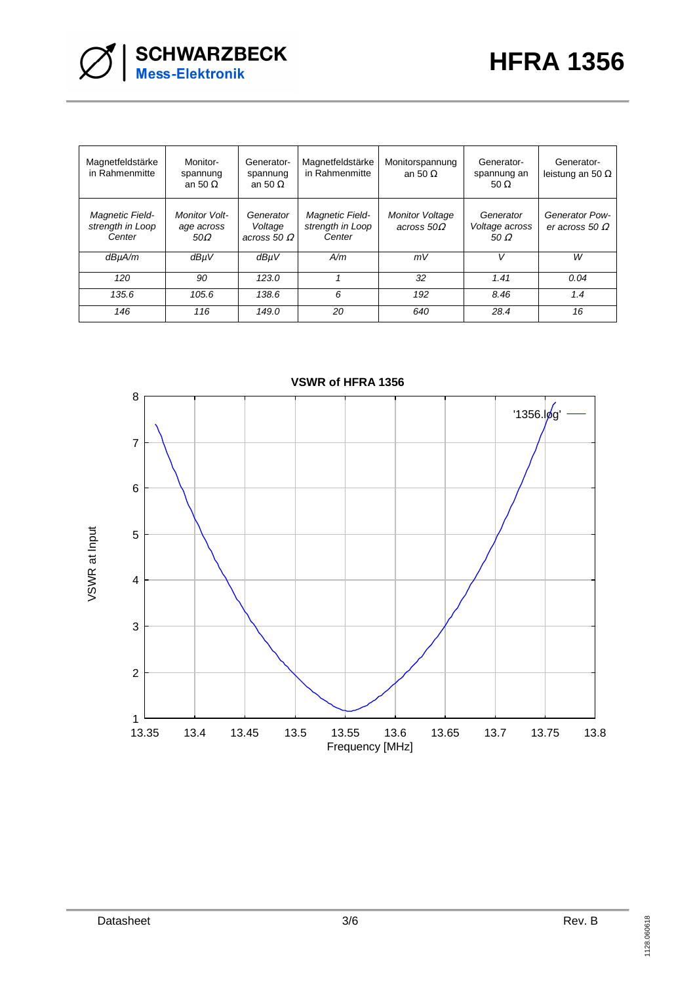

| Magnetfeldstärke<br>in Rahmenmitte                   | Monitor-<br>spannung<br>an 50 $\Omega$           | Generator-<br>spannung<br>an 50 $\Omega$      | Magnetfeldstärke<br>in Rahmenmitte            | Monitorspannung<br>an 50 $\Omega$      | Generator-<br>spannung an<br>50 $\Omega$   | Generator-<br>leistung an 50 $\Omega$   |
|------------------------------------------------------|--------------------------------------------------|-----------------------------------------------|-----------------------------------------------|----------------------------------------|--------------------------------------------|-----------------------------------------|
| <b>Magnetic Field-</b><br>strength in Loop<br>Center | <b>Monitor Volt-</b><br>age across<br>$50\Omega$ | Generator<br>Voltage<br>across 50 $\varOmega$ | Magnetic Field-<br>strength in Loop<br>Center | <b>Monitor Voltage</b><br>across $50Q$ | Generator<br>Voltage across<br>50 $\Omega$ | Generator Pow-<br>er across 50 $\Omega$ |
| dBµA/m                                               | dBµV                                             | dBµV                                          | A/m                                           | mV                                     | v                                          | w                                       |
| 120                                                  | 90                                               | 123.0                                         |                                               | 32                                     | 1.41                                       | 0.04                                    |
| 135.6                                                | 105.6                                            | 138.6                                         | 6                                             | 192                                    | 8.46                                       | 1.4                                     |
| 146                                                  | 116                                              | 149.0                                         | 20                                            | 640                                    | 28.4                                       | 16                                      |



**VSWR of HFRA 1356**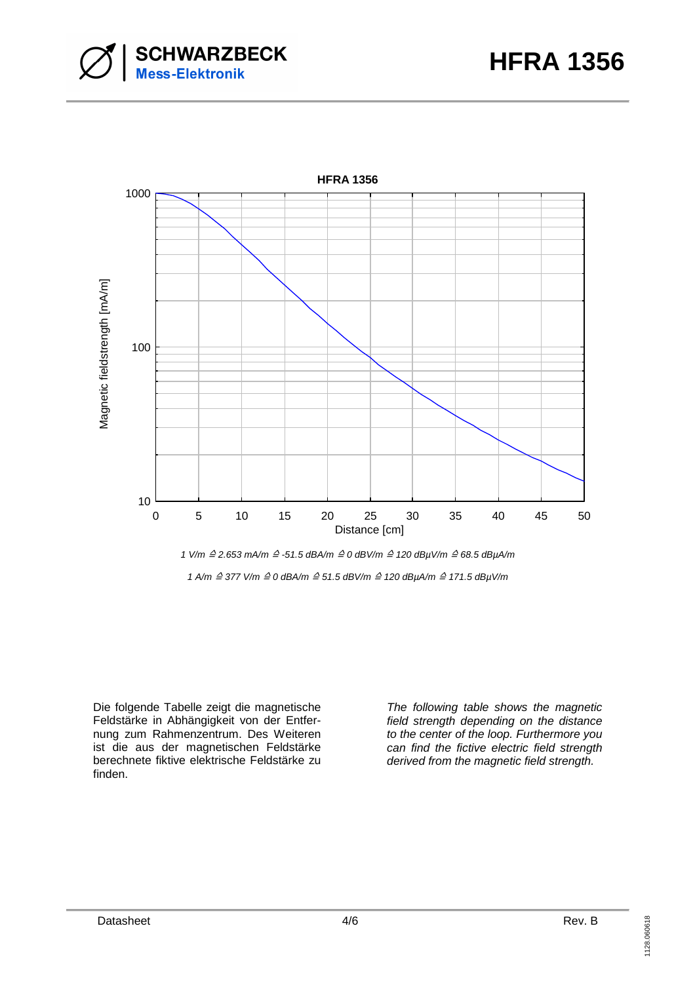





1 A/m ≙ 377 V/m ≙ 0 dBA/m ≙ 51.5 dBV/m ≙ 120 dBµA/m ≙ 171.5 dBµV/m

Die folgende Tabelle zeigt die magnetische Feldstärke in Abhängigkeit von der Entfernung zum Rahmenzentrum. Des Weiteren ist die aus der magnetischen Feldstärke berechnete fiktive elektrische Feldstärke zu finden.

The following table shows the magnetic field strength depending on the distance to the center of the loop. Furthermore you can find the fictive electric field strength derived from the magnetic field strength.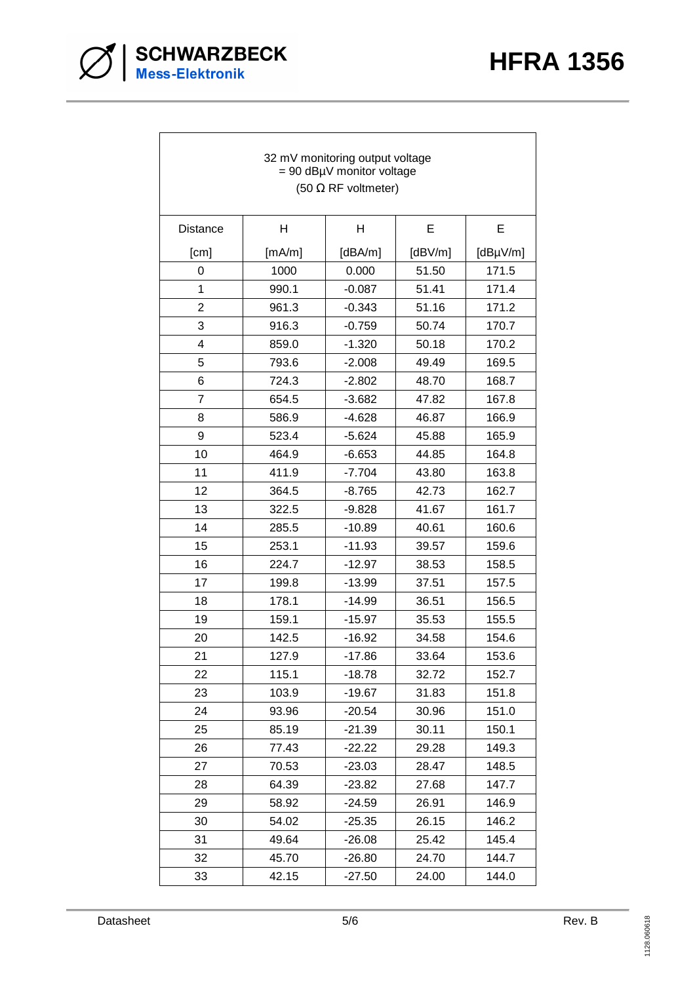

| 32 mV monitoring output voltage<br>$= 90$ dBµV monitor voltage<br>(50 $\Omega$ RF voltmeter) |        |          |             |               |  |
|----------------------------------------------------------------------------------------------|--------|----------|-------------|---------------|--|
| <b>Distance</b>                                                                              | H      | H        | E           | E             |  |
| [cm]                                                                                         | [mA/m] | [dBA/m]  | [ $dBV/m$ ] | $[dB\mu V/m]$ |  |
| 0                                                                                            | 1000   | 0.000    | 51.50       | 171.5         |  |
| 1                                                                                            | 990.1  | $-0.087$ | 51.41       | 171.4         |  |
| $\overline{c}$                                                                               | 961.3  | $-0.343$ | 51.16       | 171.2         |  |
| 3                                                                                            | 916.3  | $-0.759$ | 50.74       | 170.7         |  |
| 4                                                                                            | 859.0  | $-1.320$ | 50.18       | 170.2         |  |
| 5                                                                                            | 793.6  | $-2.008$ | 49.49       | 169.5         |  |
| 6                                                                                            | 724.3  | $-2.802$ | 48.70       | 168.7         |  |
| $\overline{7}$                                                                               | 654.5  | $-3.682$ | 47.82       | 167.8         |  |
| 8                                                                                            | 586.9  | $-4.628$ | 46.87       | 166.9         |  |
| 9                                                                                            | 523.4  | $-5.624$ | 45.88       | 165.9         |  |
| 10                                                                                           | 464.9  | $-6.653$ | 44.85       | 164.8         |  |
| 11                                                                                           | 411.9  | $-7.704$ | 43.80       | 163.8         |  |
| 12                                                                                           | 364.5  | $-8.765$ | 42.73       | 162.7         |  |
| 13                                                                                           | 322.5  | $-9.828$ | 41.67       | 161.7         |  |
| 14                                                                                           | 285.5  | $-10.89$ | 40.61       | 160.6         |  |
| 15                                                                                           | 253.1  | $-11.93$ | 39.57       | 159.6         |  |
| 16                                                                                           | 224.7  | $-12.97$ | 38.53       | 158.5         |  |
| 17                                                                                           | 199.8  | $-13.99$ | 37.51       | 157.5         |  |
| 18                                                                                           | 178.1  | $-14.99$ | 36.51       | 156.5         |  |
| 19                                                                                           | 159.1  | $-15.97$ | 35.53       | 155.5         |  |
| 20                                                                                           | 142.5  | $-16.92$ | 34.58       | 154.6         |  |
| 21                                                                                           | 127.9  | $-17.86$ | 33.64       | 153.6         |  |
| 22                                                                                           | 115.1  | $-18.78$ | 32.72       | 152.7         |  |
| 23                                                                                           | 103.9  | $-19.67$ | 31.83       | 151.8         |  |
| 24                                                                                           | 93.96  | $-20.54$ | 30.96       | 151.0         |  |
| 25                                                                                           | 85.19  | $-21.39$ | 30.11       | 150.1         |  |
| 26                                                                                           | 77.43  | $-22.22$ | 29.28       | 149.3         |  |
| 27                                                                                           | 70.53  | $-23.03$ | 28.47       | 148.5         |  |
| 28                                                                                           | 64.39  | $-23.82$ | 27.68       | 147.7         |  |
| 29                                                                                           | 58.92  | $-24.59$ | 26.91       | 146.9         |  |
| 30                                                                                           | 54.02  | $-25.35$ | 26.15       | 146.2         |  |
| 31                                                                                           | 49.64  | $-26.08$ | 25.42       | 145.4         |  |
| 32                                                                                           | 45.70  | $-26.80$ | 24.70       | 144.7         |  |
| 33                                                                                           | 42.15  | $-27.50$ | 24.00       | 144.0         |  |